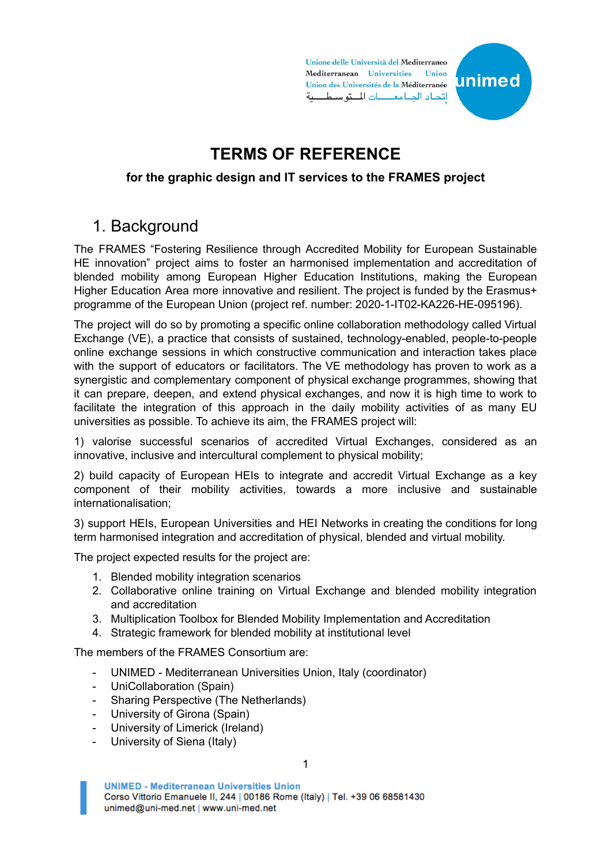Unione delle Università del Mediterraneo Mediterranean Universities Union unimed Union des Universités de la Méditerranée اتداد الجبامعات المتوسطية

# **TERMS OF REFERENCE**

#### **for the graphic design and IT services to the FRAMES project**

### 1. Background

The FRAMES "Fostering Resilience through Accredited Mobility for European Sustainable HE innovation" project aims to foster an harmonised implementation and accreditation of blended mobility among European Higher Education Institutions, making the European Higher Education Area more innovative and resilient. The project is funded by the Erasmus+ programme of the European Union (project ref. number: 2020-1-IT02-KA226-HE-095196).

The project will do so by promoting a specific online collaboration methodology called Virtual Exchange (VE), a practice that consists of sustained, technology-enabled, people-to-people online exchange sessions in which constructive communication and interaction takes place with the support of educators or facilitators. The VE methodology has proven to work as a synergistic and complementary component of physical exchange programmes, showing that it can prepare, deepen, and extend physical exchanges, and now it is high time to work to facilitate the integration of this approach in the daily mobility activities of as many EU universities as possible. To achieve its aim, the FRAMES project will:

1) valorise successful scenarios of accredited Virtual Exchanges, considered as an innovative, inclusive and intercultural complement to physical mobility;

2) build capacity of European HEIs to integrate and accredit Virtual Exchange as a key component of their mobility activities, towards a more inclusive and sustainable internationalisation;

3) support HEIs, European Universities and HEI Networks in creating the conditions for long term harmonised integration and accreditation of physical, blended and virtual mobility.

The project expected results for the project are:

- 1. Blended mobility integration scenarios
- 2. Collaborative online training on Virtual Exchange and blended mobility integration and accreditation
- 3. Multiplication Toolbox for Blended Mobility Implementation and Accreditation
- 4. Strategic framework for blended mobility at institutional level

The members of the FRAMES Consortium are:

- UNIMED Mediterranean Universities Union, Italy (coordinator)
- UniCollaboration (Spain)
- Sharing Perspective (The Netherlands)
- University of Girona (Spain)
- University of Limerick (Ireland)
- University of Siena (Italy)

**UNIMED - Mediterranean Universities Union** Corso Vittorio Emanuele II, 244 | 00186 Rome (Italy) | Tel. +39 06 68581430 unimed@uni-med.net | www.uni-med.net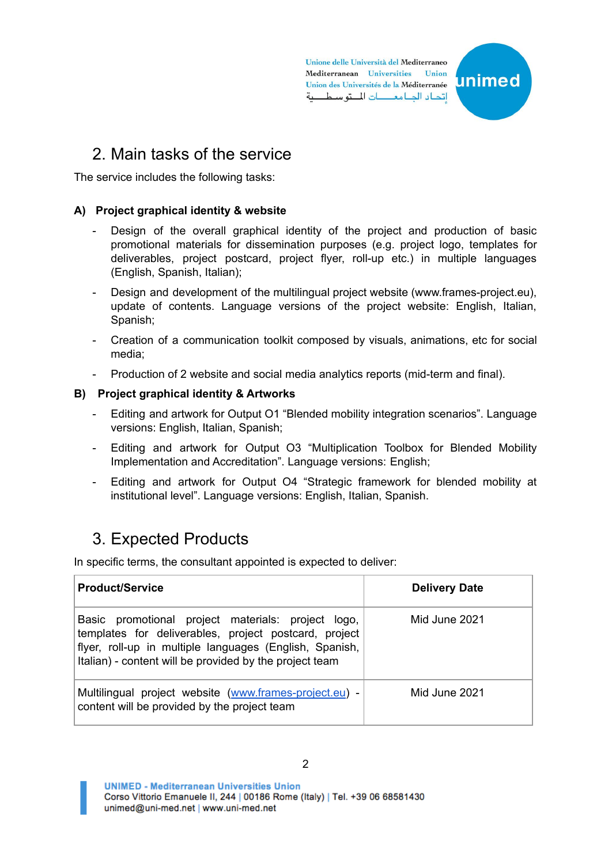Unione delle Università del Mediterraneo Mediterranean Universities Union unimed Union des Universités de la Méditerranée اتداد الجبامعات المتوسطية

## 2. Main tasks of the service

The service includes the following tasks:

#### **A) Project graphical identity & website**

- Design of the overall graphical identity of the project and production of basic promotional materials for dissemination purposes (e.g. project logo, templates for deliverables, project postcard, project flyer, roll-up etc.) in multiple languages (English, Spanish, Italian);
- Design and development of the multilingual project website (www.frames-project.eu), update of contents. Language versions of the project website: English, Italian, Spanish;
- Creation of a communication toolkit composed by visuals, animations, etc for social media;
- Production of 2 website and social media analytics reports (mid-term and final).

#### **B) Project graphical identity & Artworks**

- Editing and artwork for Output O1 "Blended mobility integration scenarios". Language versions: English, Italian, Spanish;
- Editing and artwork for Output O3 "Multiplication Toolbox for Blended Mobility Implementation and Accreditation". Language versions: English;
- Editing and artwork for Output O4 "Strategic framework for blended mobility at institutional level". Language versions: English, Italian, Spanish.

## 3. Expected Products

In specific terms, the consultant appointed is expected to deliver:

| <b>Product/Service</b>                                                                                                                                                                                                            | <b>Delivery Date</b> |
|-----------------------------------------------------------------------------------------------------------------------------------------------------------------------------------------------------------------------------------|----------------------|
| Basic promotional project materials: project logo,<br>templates for deliverables, project postcard, project<br>flyer, roll-up in multiple languages (English, Spanish,<br>Italian) - content will be provided by the project team | Mid June 2021        |
| Multilingual project website (www.frames-project.eu) -<br>content will be provided by the project team                                                                                                                            | Mid June 2021        |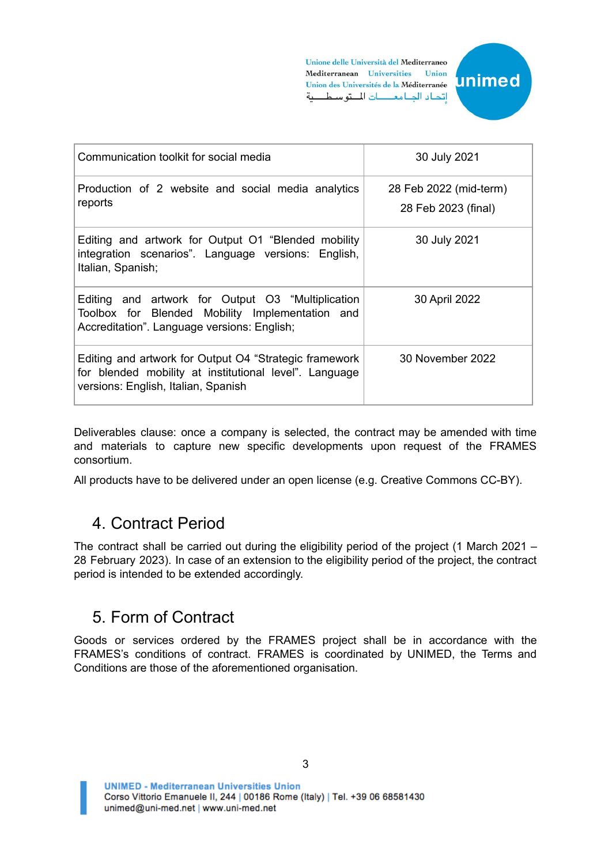Unione delle Università del Mediterraneo Mediterranean Universities Union Union des Universités de la Méditerranée اتحاد الجامعات المتوسطية



| Communication toolkit for social media                                                                                                                  | 30 July 2021                                  |
|---------------------------------------------------------------------------------------------------------------------------------------------------------|-----------------------------------------------|
| Production of 2 website and social media analytics<br>reports                                                                                           | 28 Feb 2022 (mid-term)<br>28 Feb 2023 (final) |
|                                                                                                                                                         |                                               |
| Editing and artwork for Output O1 "Blended mobility<br>integration scenarios". Language versions: English,<br>Italian, Spanish;                         | 30 July 2021                                  |
| Editing and artwork for Output O3 "Multiplication<br>Toolbox for Blended Mobility Implementation and<br>Accreditation". Language versions: English;     | 30 April 2022                                 |
| Editing and artwork for Output O4 "Strategic framework<br>for blended mobility at institutional level". Language<br>versions: English, Italian, Spanish | 30 November 2022                              |

Deliverables clause: once a company is selected, the contract may be amended with time and materials to capture new specific developments upon request of the FRAMES consortium.

All products have to be delivered under an open license (e.g. Creative Commons CC-BY).

### 4. Contract Period

The contract shall be carried out during the eligibility period of the project (1 March 2021 – 28 February 2023). In case of an extension to the eligibility period of the project, the contract period is intended to be extended accordingly.

### 5. Form of Contract

Goods or services ordered by the FRAMES project shall be in accordance with the FRAMES's conditions of contract. FRAMES is coordinated by UNIMED, the Terms and Conditions are those of the aforementioned organisation.